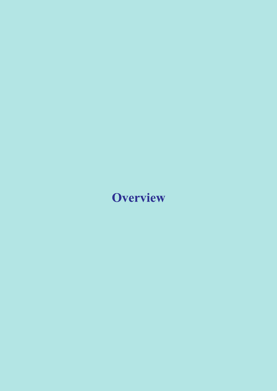# **Overview**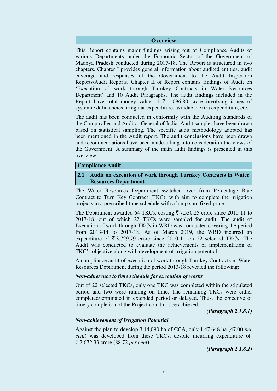#### **Overview**

This Report contains major findings arising out of Compliance Audits of various Departments under the Economic Sector of the Government of Madhya Pradesh conducted during 2017-18. The Report is structured in two chapters. Chapter I provides general information about audited entities, audit coverage and responses of the Government to the Audit Inspection Reports/Audit Reports. Chapter II of Report contains findings of Audit on 'Execution of work through Turnkey Contracts in Water Resources Department' and 10 Audit Paragraphs. The audit findings included in the Report have total money value of  $\bar{\tau}$  1,096.80 crore involving issues of systemic deficiencies, irregular expenditure, avoidable extra expenditure, etc.

The audit has been conducted in conformity with the Auditing Standards of the Comptroller and Auditor General of India. Audit samples have been drawn based on statistical sampling. The specific audit methodology adopted has been mentioned in the Audit report. The audit conclusions have been drawn and recommendations have been made taking into consideration the views of the Government. A summary of the main audit findings is presented in this overview.

#### **Compliance Audit**

## **2.1 Audit on execution of work through Turnkey Contracts in Water Resources Department**

The Water Resources Department switched over from Percentage Rate Contract to Turn Key Contract (TKC), with aim to complete the irrigation projects in a prescribed time schedule with a lump sum fixed price.

The Department awarded 64 TKCs, costing  $\overline{5}$  7,530.25 crore since 2010-11 to 2017-18, out of which 22 TKCs were sampled for audit. The audit of Execution of work through TKCs in WRD was conducted covering the period from 2013-14 to 2017-18. As of March 2019, the WRD incurred an expenditure of  $\overline{5}$  3,729.79 crore since 2010-11 on 22 selected TKCs. The Audit was conducted to evaluate the achievements of implementation of TKC's objective along with development of irrigation potential.

A compliance audit of execution of work through Turnkey Contracts in Water Resources Department during the period 2013-18 revealed the following:

#### *Non-adherence to time schedule for execution of works*

Out of 22 selected TKCs, only one TKC was completed within the stipulated period and two were running on time. The remaining TKCs were either completed/terminated in extended period or delayed. Thus, the objective of timely completion of the Project could not be achieved.

*(Paragraph 2.1.8.1)* 

## *Non-achievement of Irrigation Potential*

Against the plan to develop 3,14,090 ha of CCA, only 1,47,648 ha (47.00 *per cent*) was developed from these TKCs, despite incurring expenditure of ` 2,672.33 crore (88.72 *per cent*).

*(Paragraph 2.1.8.2)*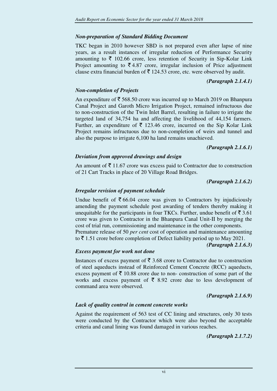# *Non-preparation of Standard Bidding Document*

TKC began in 2010 however SBD is not prepared even after lapse of nine years, as a result instances of irregular reduction of Performance Security amounting to  $\bar{\tau}$  102.66 crore, less retention of Security in Sip-Kolar Link Project amounting to  $\bar{\mathcal{F}}$  4.87 crore, irregular inclusion of Price adjustment clause extra financial burden of  $\bar{\tau}$  124.53 crore, etc. were observed by audit.

## *(Paragraph 2.1.4.1)*

# *Non-completion of Projects*

An expenditure of  $\bar{\mathcal{F}}$  568.50 crore was incurred up to March 2019 on Bhanpura Canal Project and Garoth Micro Irrigation Project, remained infructuous due to non-construction of the Twin Inlet Barrel, resulting in failure to irrigate the targeted land of 34,754 ha and affecting the livelihood of 44,154 farmers. Further, an expenditure of  $\bar{\tau}$  123.46 crore, incurred on the Sip Kolar Link Project remains infructuous due to non-completion of weirs and tunnel and also the purpose to irrigate 6,100 ha land remains unachieved.

#### *(Paragraph 2.1.6.1)*

# *Deviation from approved drawings and design*

An amount of  $\bar{\tau}$  11.67 crore was excess paid to Contractor due to construction of 21 Cart Tracks in place of 20 Village Road Bridges.

*(Paragraph 2.1.6.2)*

## *Irregular revision of payment schedule*

Undue benefit of  $\bar{\mathfrak{g}}$  66.04 crore was given to Contractors by injudiciously amending the payment schedule post awarding of tenders thereby making it unequitable for the participants in four TKCs. Further, undue benefit of  $\bar{\mathfrak{F}}$  3.61 crore was given to Contractor in the Bhanpura Canal Unit-II by merging the cost of trial run, commissioning and maintenance in the other components. Premature release of 50 *per cent* cost of operation and maintenance amounting to  $\bar{\tau}$  1.51 crore before completion of Defect liability period up to May 2021.

*(Paragraph 2.1.6.3)* 

## *Excess payment for work not done*

Instances of excess payment of  $\bar{\tau}$  3.68 crore to Contractor due to construction of steel aqueducts instead of Reinforced Cement Concrete (RCC) aqueducts, excess payment of  $\bar{\xi}$  10.88 crore due to non- construction of some part of the works and excess payment of  $\bar{\bar{\xi}}$  8.92 crore due to less development of command area were observed.

*(Paragraph 2.1.6.9)* 

## *Lack of quality control in cement concrete works*

Against the requirement of 563 test of CC lining and structures, only 30 tests were conducted by the Contractor which were also beyond the acceptable criteria and canal lining was found damaged in various reaches.

*(Paragraph 2.1.7.2)*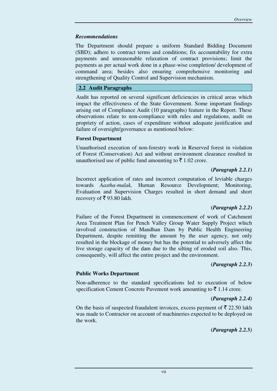#### *Recommendations*

The Department should prepare a uniform Standard Bidding Document (SBD); adhere to contract terms and conditions; fix accountability for extra payments and unreasonable relaxation of contract provisions; limit the payments as per actual work done in a phase-wise completion/ development of command area; besides also ensuring comprehensive monitoring and strengthening of Quality Control and Supervision mechanism.

# **2.2 Audit Paragraphs**

Audit has reported on several significant deficiencies in critical areas which impact the effectiveness of the State Government. Some important findings arising out of Compliance Audit (10 paragraphs) feature in the Report. These observations relate to non-compliance with rules and regulations, audit on propriety of action, cases of expenditure without adequate justification and failure of oversight/governance as mentioned below:

## **Forest Department**

Unauthorised execution of non-forestry work in Reserved forest in violation of Forest (Conservation) Act and without environment clearance resulted in unauthorised use of public fund amounting to  $\bar{\xi}$  1.02 crore.

## **(***Paragraph 2.2.1***)**

Incorrect application of rates and incorrect computation of leviable charges towards *Aastha-mulak,* Human Resource Development; Monitoring, Evaluation and Supervision Charges resulted in short demand and short recovery of  $\bar{\mathfrak{c}}$  93.80 lakh.

## **(***Paragraph 2.2.2***)**

Failure of the Forest Department in commencement of work of Catchment Area Treatment Plan for Pench Valley Group Water Supply Project which involved construction of Mandhan Dam by Public Health Engineering Department, despite remitting the amount by the user agency, not only resulted in the blockage of money but has the potential to adversely affect the live storage capacity of the dam due to the silting of eroded soil also. This, consequently, will affect the entire project and the environment.

#### **(***Paragraph 2.2.3***)**

## **Public Works Department**

Non-adherence to the standard specifications led to execution of below specification Cement Concrete Pavement work amounting to  $\bar{\tau}$  1.14 crore.

#### **(***Paragraph 2.2.4)*

On the basis of suspected fraudulent invoices, excess payment of  $\bar{\tau}$  22.50 lakh was made to Contractor on account of machineries expected to be deployed on the work.

**(***Paragraph 2.2.5)*